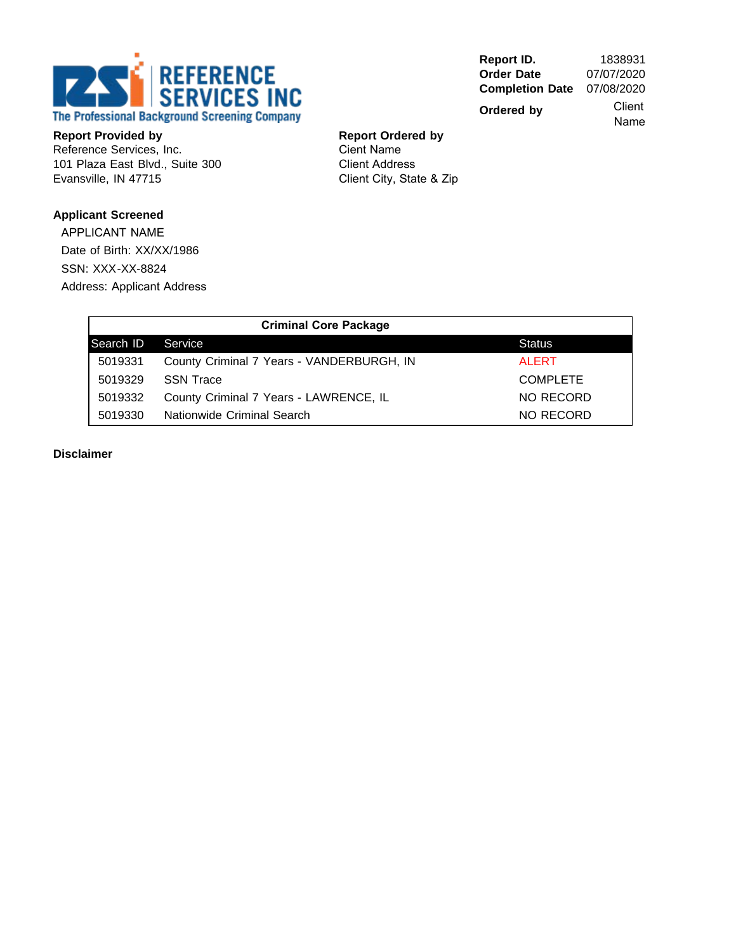

**Report ID.** 1838931<br> **Order Date** 07/07/2020 **Order Date Completion Date** 07/08/2020

**Ordered by**

 Client Name

**Report Provided by** Reference Services, Inc. 101 Plaza East Blvd., Suite 300 Evansville, IN 47715

**Report Ordered by** Cient Name Client Address Client City, State & Zip

# **Applicant Screened**

APPLICANT NAME Date of Birth: XX/XX/1986 SSN: XXX-XX-8824 Address: Applicant Address

|           | <b>Criminal Core Package</b>              |                 |
|-----------|-------------------------------------------|-----------------|
| Search ID | Service                                   | <b>Status</b>   |
| 5019331   | County Criminal 7 Years - VANDERBURGH, IN | <b>ALERT</b>    |
| 5019329   | <b>SSN Trace</b>                          | <b>COMPLETE</b> |
| 5019332   | County Criminal 7 Years - LAWRENCE, IL    | NO RECORD       |
| 5019330   | Nationwide Criminal Search                | NO RECORD       |

**Disclaimer**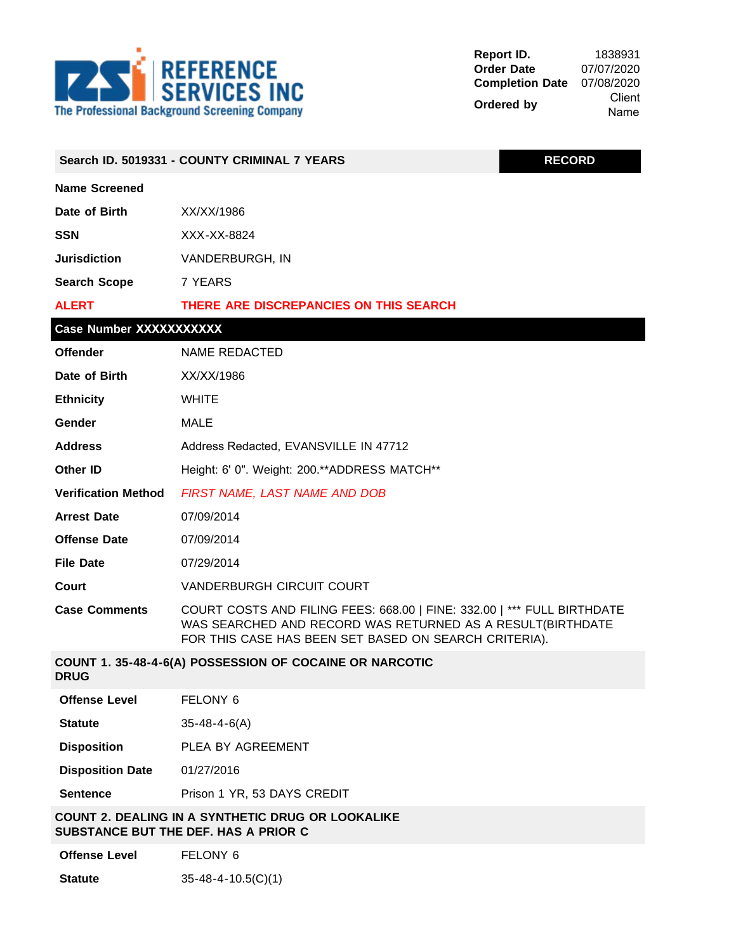

| <b>RECORD</b><br>Search ID. 5019331 - COUNTY CRIMINAL 7 YEARS                             |                                                                                                                                                                                                |  |  |  |
|-------------------------------------------------------------------------------------------|------------------------------------------------------------------------------------------------------------------------------------------------------------------------------------------------|--|--|--|
| <b>Name Screened</b>                                                                      |                                                                                                                                                                                                |  |  |  |
| Date of Birth                                                                             | XX/XX/1986                                                                                                                                                                                     |  |  |  |
| <b>SSN</b>                                                                                | XXX-XX-8824                                                                                                                                                                                    |  |  |  |
| <b>Jurisdiction</b>                                                                       | VANDERBURGH, IN                                                                                                                                                                                |  |  |  |
| <b>Search Scope</b>                                                                       | 7 YEARS                                                                                                                                                                                        |  |  |  |
| <b>ALERT</b><br>THERE ARE DISCREPANCIES ON THIS SEARCH                                    |                                                                                                                                                                                                |  |  |  |
| Case Number XXXXXXXXXX                                                                    |                                                                                                                                                                                                |  |  |  |
| <b>Offender</b>                                                                           | NAME REDACTED                                                                                                                                                                                  |  |  |  |
| Date of Birth                                                                             | XX/XX/1986                                                                                                                                                                                     |  |  |  |
| <b>Ethnicity</b>                                                                          | <b>WHITE</b>                                                                                                                                                                                   |  |  |  |
| Gender                                                                                    | <b>MALE</b>                                                                                                                                                                                    |  |  |  |
| <b>Address</b>                                                                            | Address Redacted, EVANSVILLE IN 47712                                                                                                                                                          |  |  |  |
| Other ID                                                                                  | Height: 6' 0". Weight: 200.**ADDRESS MATCH**                                                                                                                                                   |  |  |  |
| <b>Verification Method</b><br>FIRST NAME, LAST NAME AND DOB                               |                                                                                                                                                                                                |  |  |  |
| <b>Arrest Date</b><br>07/09/2014                                                          |                                                                                                                                                                                                |  |  |  |
| <b>Offense Date</b><br>07/09/2014                                                         |                                                                                                                                                                                                |  |  |  |
| <b>File Date</b>                                                                          | 07/29/2014                                                                                                                                                                                     |  |  |  |
| Court                                                                                     | <b>VANDERBURGH CIRCUIT COURT</b>                                                                                                                                                               |  |  |  |
| <b>Case Comments</b>                                                                      | COURT COSTS AND FILING FEES: 668.00   FINE: 332.00   *** FULL BIRTHDATE<br>WAS SEARCHED AND RECORD WAS RETURNED AS A RESULT(BIRTHDATE<br>FOR THIS CASE HAS BEEN SET BASED ON SEARCH CRITERIA). |  |  |  |
| <b>DRUG</b>                                                                               | COUNT 1. 35-48-4-6(A) POSSESSION OF COCAINE OR NARCOTIC                                                                                                                                        |  |  |  |
| <b>Offense Level</b>                                                                      | FELONY 6                                                                                                                                                                                       |  |  |  |
| <b>Statute</b>                                                                            | $35 - 48 - 4 - 6(A)$                                                                                                                                                                           |  |  |  |
| <b>Disposition</b>                                                                        | PLEA BY AGREEMENT                                                                                                                                                                              |  |  |  |
| <b>Disposition Date</b>                                                                   | 01/27/2016                                                                                                                                                                                     |  |  |  |
| <b>Sentence</b>                                                                           | Prison 1 YR, 53 DAYS CREDIT                                                                                                                                                                    |  |  |  |
| COUNT 2. DEALING IN A SYNTHETIC DRUG OR LOOKALIKE<br>SUBSTANCE BUT THE DEF. HAS A PRIOR C |                                                                                                                                                                                                |  |  |  |
| <b>Offense Level</b>                                                                      | FELONY 6                                                                                                                                                                                       |  |  |  |
| <b>Statute</b>                                                                            | $35 - 48 - 4 - 10.5(C)(1)$                                                                                                                                                                     |  |  |  |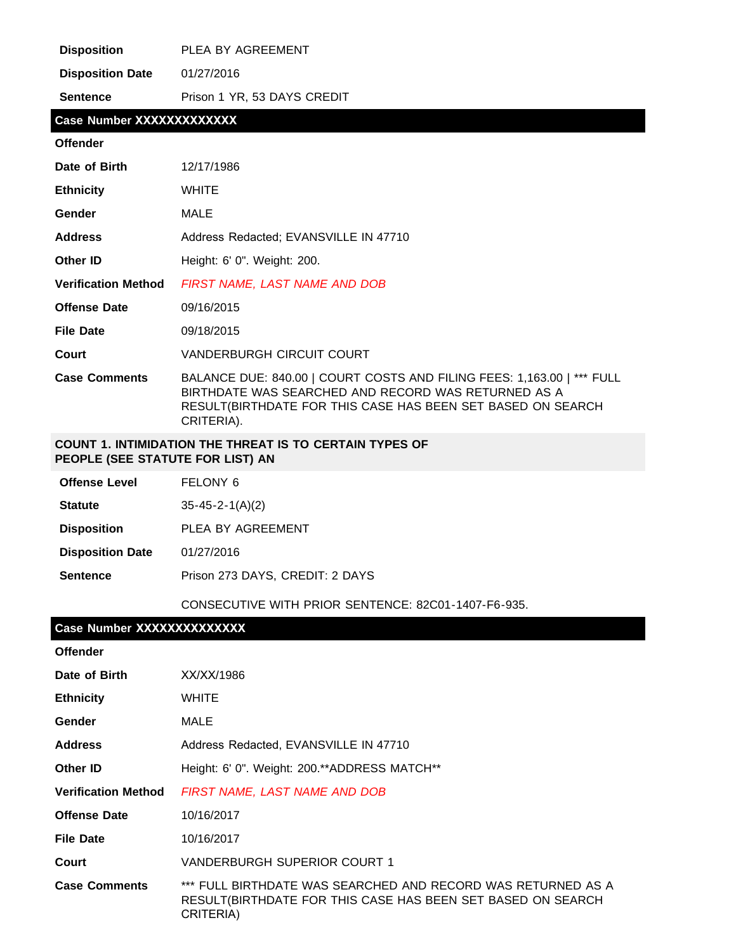| <b>Disposition</b>         | PLEA BY AGREEMENT                                                                                                                                                                                          |
|----------------------------|------------------------------------------------------------------------------------------------------------------------------------------------------------------------------------------------------------|
| <b>Disposition Date</b>    | 01/27/2016                                                                                                                                                                                                 |
| <b>Sentence</b>            | Prison 1 YR, 53 DAYS CREDIT                                                                                                                                                                                |
| Case Number XXXXXXXXXXXXX  |                                                                                                                                                                                                            |
| <b>Offender</b>            |                                                                                                                                                                                                            |
| Date of Birth              | 12/17/1986                                                                                                                                                                                                 |
| <b>Ethnicity</b>           | <b>WHITE</b>                                                                                                                                                                                               |
| Gender                     | <b>MALE</b>                                                                                                                                                                                                |
| <b>Address</b>             | Address Redacted; EVANSVILLE IN 47710                                                                                                                                                                      |
| <b>Other ID</b>            | Height: 6' 0". Weight: 200.                                                                                                                                                                                |
| <b>Verification Method</b> | FIRST NAME, LAST NAME AND DOB                                                                                                                                                                              |
| <b>Offense Date</b>        | 09/16/2015                                                                                                                                                                                                 |
| <b>File Date</b>           | 09/18/2015                                                                                                                                                                                                 |
| Court                      | <b>VANDERBURGH CIRCUIT COURT</b>                                                                                                                                                                           |
| <b>Case Comments</b>       | BALANCE DUE: 840.00   COURT COSTS AND FILING FEES: 1,163.00   *** FULL<br>BIRTHDATE WAS SEARCHED AND RECORD WAS RETURNED AS A<br>RESULT(BIRTHDATE FOR THIS CASE HAS BEEN SET BASED ON SEARCH<br>CRITERIA). |

### **COUNT 1. INTIMIDATION THE THREAT IS TO CERTAIN TYPES OF PEOPLE (SEE STATUTE FOR LIST) AN**

| <b>Offense Level</b>    | FELONY 6                        |
|-------------------------|---------------------------------|
| <b>Statute</b>          | $35 - 45 - 2 - 1(A)(2)$         |
| <b>Disposition</b>      | PLEA BY AGREEMENT               |
| <b>Disposition Date</b> | 01/27/2016                      |
| <b>Sentence</b>         | Prison 273 DAYS, CREDIT: 2 DAYS |
|                         |                                 |

CONSECUTIVE WITH PRIOR SENTENCE: 82C01-1407-F6-935.

# **Case Number XXXXXXXXXXXXXX**

| <b>Offender</b>            |                                                                                                                                          |
|----------------------------|------------------------------------------------------------------------------------------------------------------------------------------|
| Date of Birth              | XX/XX/1986                                                                                                                               |
| <b>Ethnicity</b>           | <b>WHITE</b>                                                                                                                             |
| Gender                     | MALE                                                                                                                                     |
| <b>Address</b>             | Address Redacted, EVANSVILLE IN 47710                                                                                                    |
| Other ID                   | Height: 6' 0". Weight: 200.**ADDRESS MATCH**                                                                                             |
| <b>Verification Method</b> | FIRST NAME, LAST NAME AND DOB                                                                                                            |
| <b>Offense Date</b>        | 10/16/2017                                                                                                                               |
| <b>File Date</b>           | 10/16/2017                                                                                                                               |
| Court                      | VANDERBURGH SUPERIOR COURT 1                                                                                                             |
| <b>Case Comments</b>       | *** FULL BIRTHDATE WAS SEARCHED AND RECORD WAS RETURNED AS A<br>RESULT(BIRTHDATE FOR THIS CASE HAS BEEN SET BASED ON SEARCH<br>CRITERIA) |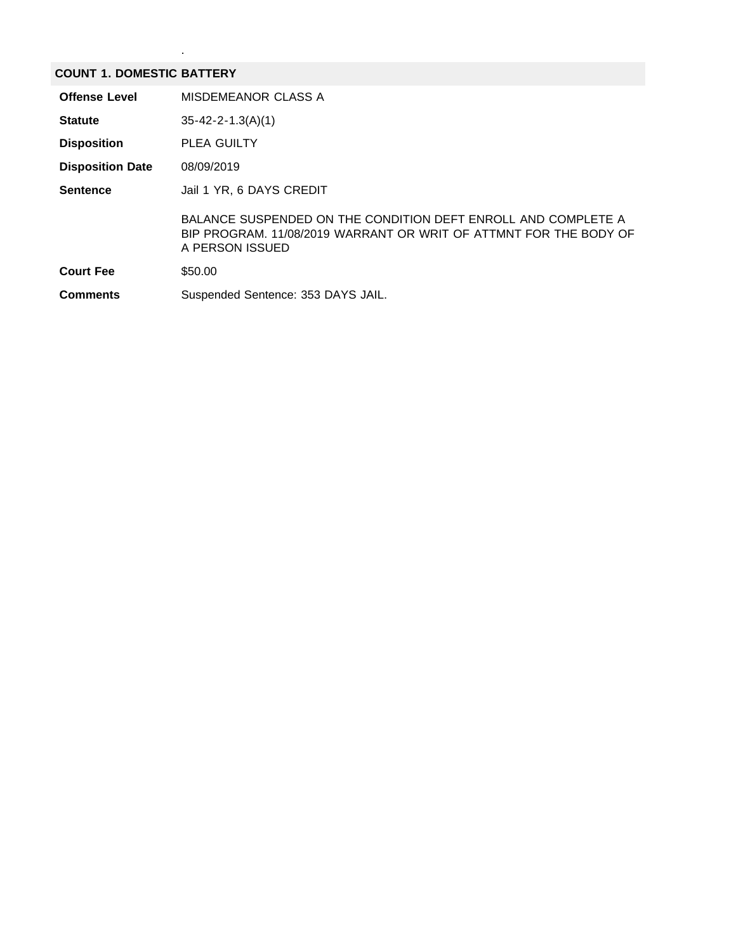#### **COUNT 1. DOMESTIC BATTERY**

.

| <b>Offense Level</b>    | MISDEMEANOR CLASS A                                                                                                                                   |
|-------------------------|-------------------------------------------------------------------------------------------------------------------------------------------------------|
| <b>Statute</b>          | $35 - 42 - 2 - 1.3(A)(1)$                                                                                                                             |
| <b>Disposition</b>      | <b>PLEA GUILTY</b>                                                                                                                                    |
| <b>Disposition Date</b> | 08/09/2019                                                                                                                                            |
| <b>Sentence</b>         | Jail 1 YR, 6 DAYS CREDIT                                                                                                                              |
|                         | BALANCE SUSPENDED ON THE CONDITION DEFT ENROLL AND COMPLETE A<br>BIP PROGRAM, 11/08/2019 WARRANT OR WRIT OF ATTMNT FOR THE BODY OF<br>A PERSON ISSUED |
| <b>Court Fee</b>        | \$50.00                                                                                                                                               |
| <b>Comments</b>         | Suspended Sentence: 353 DAYS JAIL.                                                                                                                    |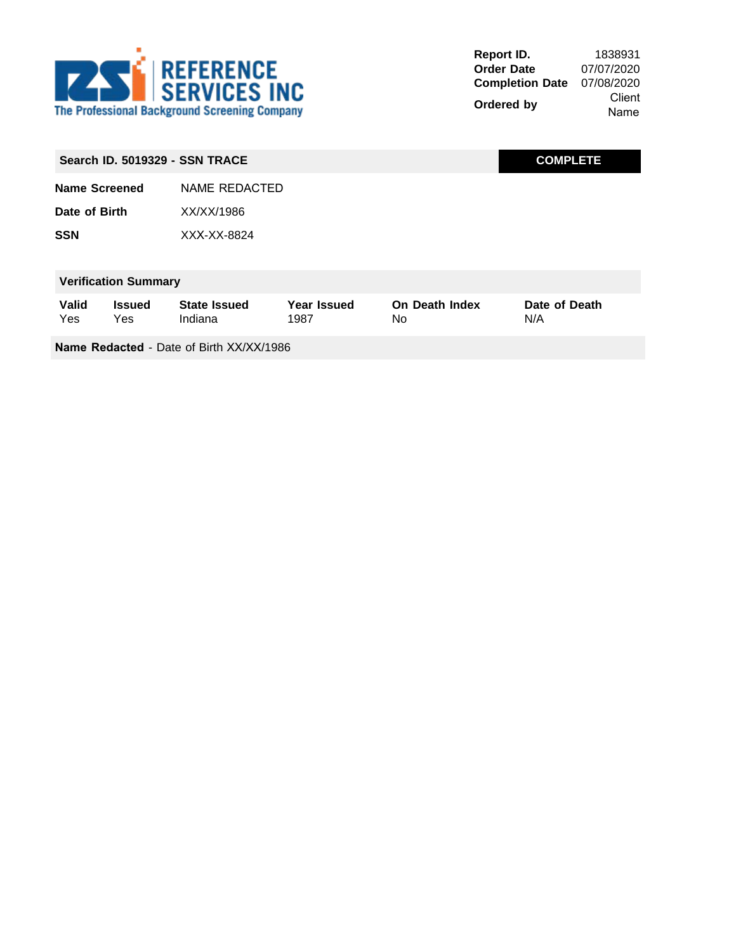

**Report ID.** 1838931<br> **Order Date** 07/07/2020 **Order Date Completion Date** 07/08/2020 **Ordered by** Client Name

|                             |                      | <b>Search ID. 5019329 - SSN TRACE</b> |                            |                             | <b>COMPLETE</b>      |
|-----------------------------|----------------------|---------------------------------------|----------------------------|-----------------------------|----------------------|
| Name Screened               |                      | NAME REDACTED                         |                            |                             |                      |
| Date of Birth               |                      | XX/XX/1986                            |                            |                             |                      |
| <b>SSN</b>                  |                      | XXX-XX-8824                           |                            |                             |                      |
|                             |                      |                                       |                            |                             |                      |
| <b>Verification Summary</b> |                      |                                       |                            |                             |                      |
| <b>Valid</b><br>Yes         | <b>Issued</b><br>Yes | <b>State Issued</b><br>Indiana        | <b>Year Issued</b><br>1987 | <b>On Death Index</b><br>No | Date of Death<br>N/A |
|                             |                      |                                       |                            |                             |                      |

**Name Redacted** - Date of Birth XX/XX/1986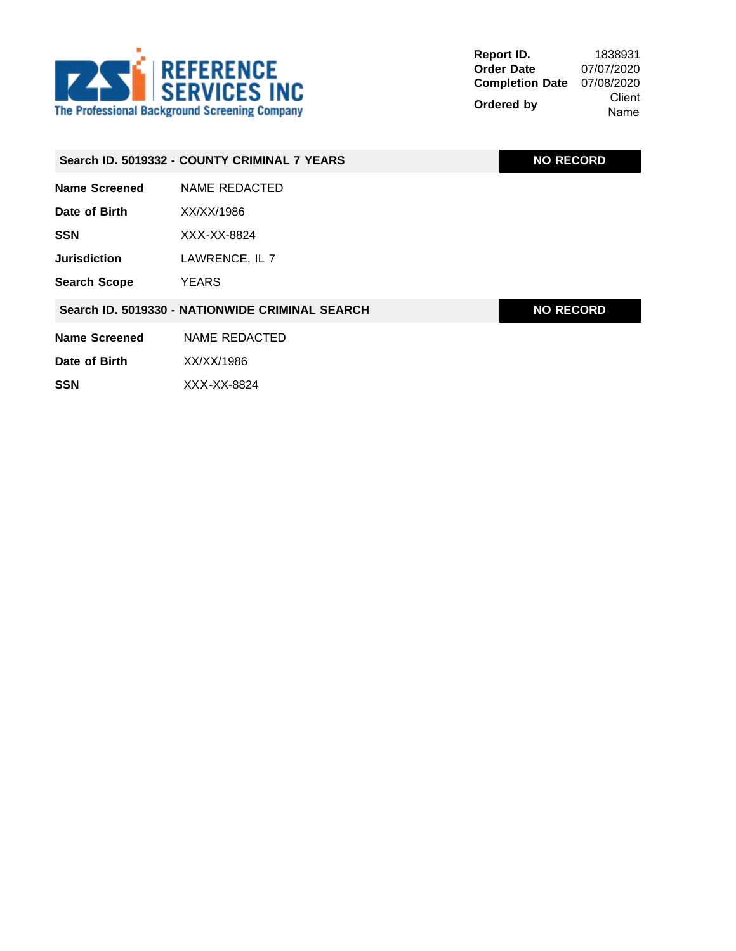

|                      | Search ID. 5019332 - COUNTY CRIMINAL 7 YEARS    | <b>NO RECORD</b> |
|----------------------|-------------------------------------------------|------------------|
| <b>Name Screened</b> | <b>NAME REDACTED</b>                            |                  |
| Date of Birth        | XX/XX/1986                                      |                  |
| <b>SSN</b>           | XXX-XX-8824                                     |                  |
| <b>Jurisdiction</b>  | LAWRENCE, IL 7                                  |                  |
| <b>Search Scope</b>  | <b>YEARS</b>                                    |                  |
|                      | Search ID. 5019330 - NATIONWIDE CRIMINAL SEARCH | <b>NO RECORD</b> |
| <b>Name Screened</b> | NAME REDACTED                                   |                  |
| Date of Birth        | XX/XX/1986                                      |                  |
| <b>SSN</b>           | XXX-XX-8824                                     |                  |